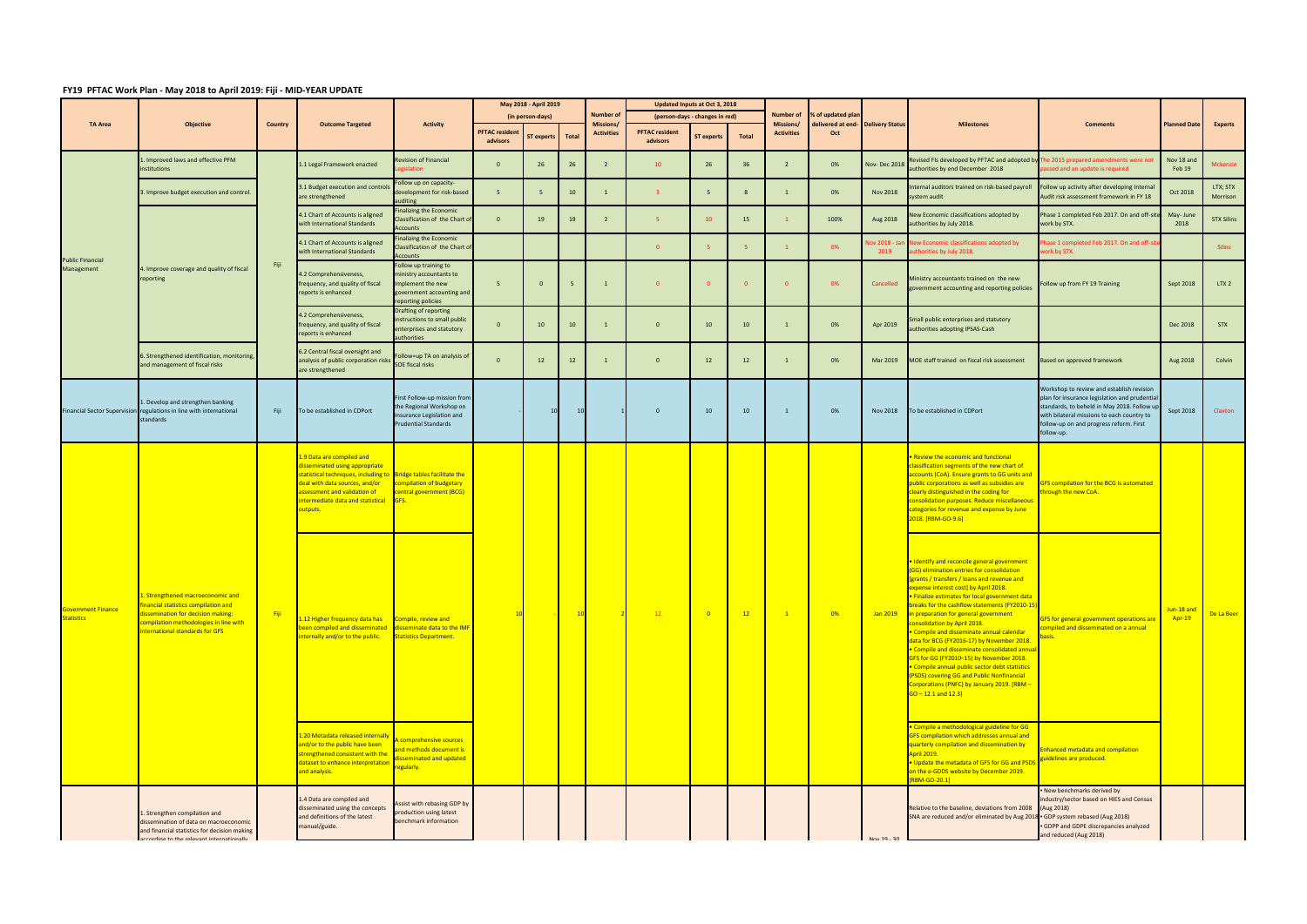## **FY19 PFTAC Work Plan ‐ May 2018 to April 2019: Fiji ‐ MID‐YEAR UPDATE**

|                                                |                                                                                                                                                                                             |         |                                                                                                                                                                                                                                                     |                                                                                                                         | May 2018 - April 2019             |            |       |                                      | Updated Inputs at Oct 3, 2018     |                                |       |                        |                   |                                   |                                                                                                                                                                                                                                                                                                                                                                                                                                                                                                                                                                                                                                                                                                                               |                                                                                                                                                                                                                                                  |                      |                      |
|------------------------------------------------|---------------------------------------------------------------------------------------------------------------------------------------------------------------------------------------------|---------|-----------------------------------------------------------------------------------------------------------------------------------------------------------------------------------------------------------------------------------------------------|-------------------------------------------------------------------------------------------------------------------------|-----------------------------------|------------|-------|--------------------------------------|-----------------------------------|--------------------------------|-------|------------------------|-------------------|-----------------------------------|-------------------------------------------------------------------------------------------------------------------------------------------------------------------------------------------------------------------------------------------------------------------------------------------------------------------------------------------------------------------------------------------------------------------------------------------------------------------------------------------------------------------------------------------------------------------------------------------------------------------------------------------------------------------------------------------------------------------------------|--------------------------------------------------------------------------------------------------------------------------------------------------------------------------------------------------------------------------------------------------|----------------------|----------------------|
| <b>TA Area</b>                                 | <b>Objective</b>                                                                                                                                                                            | Country | <b>Outcome Targeted</b>                                                                                                                                                                                                                             | <b>Activity</b>                                                                                                         | (in person-days)                  |            |       | <b>Number of</b><br><b>Missions/</b> |                                   | (person-days - changes in red) |       | Number of<br>Missions/ | % of updated plan | delivered at end- Delivery Status | <b>Milestones</b>                                                                                                                                                                                                                                                                                                                                                                                                                                                                                                                                                                                                                                                                                                             | <b>Comments</b>                                                                                                                                                                                                                                  | <b>Planned Date</b>  | <b>Experts</b>       |
|                                                |                                                                                                                                                                                             |         |                                                                                                                                                                                                                                                     |                                                                                                                         | <b>PFTAC</b> resident<br>advisors | ST experts | Total | <b>Activities</b>                    | <b>PFTAC resident</b><br>advisors | <b>ST experts</b>              | Total | <b>Activities</b>      | Oct               |                                   |                                                                                                                                                                                                                                                                                                                                                                                                                                                                                                                                                                                                                                                                                                                               |                                                                                                                                                                                                                                                  |                      |                      |
| <b>Public Financial</b><br>Management          | 1. Improved laws and effective PFM<br>institutions                                                                                                                                          |         | 1.1 Legal Framework enacted                                                                                                                                                                                                                         | Revision of Financial<br>islation                                                                                       |                                   | 26         | 26    |                                      | $10-10$                           | 26                             | 36    | $\overline{2}$         | 0%                | Nov-Dec 2018                      | Revised FIs developed by PFTAC and adopted by The 2015 prepared amendments were not<br>authorities by end December 2018                                                                                                                                                                                                                                                                                                                                                                                                                                                                                                                                                                                                       | assed and an update is required                                                                                                                                                                                                                  | Nov 18 and<br>Feb 19 | Mckenzie             |
|                                                | 3. Improve budget execution and control.                                                                                                                                                    |         | 3.1 Budget execution and control:<br>are strengthened                                                                                                                                                                                               | ollow up on capacity-<br>development for risk-based<br>uditing                                                          | -5                                | $-5$       | 10    |                                      | $\mathbf{B}$                      |                                | 8     |                        | 0%                | <b>Nov 2018</b>                   | Internal auditors trained on risk-based payroll<br>system audit                                                                                                                                                                                                                                                                                                                                                                                                                                                                                                                                                                                                                                                               | Follow up activity after developing Internal<br>Audit risk assessment framework in FY 18                                                                                                                                                         | Oct 2018             | LTX; STX<br>Morrison |
|                                                |                                                                                                                                                                                             |         | 4.1 Chart of Accounts is aligned<br>with International Standards                                                                                                                                                                                    | <b>Finalizing the Economic</b><br>Classification of the Chart of<br>Accounts                                            | $\mathbf{0}$                      | 19         | 19    |                                      | -5.                               | 10                             | 15    |                        | 100%              | Aug 2018                          | New Economic classifications adopted by<br>authorities by July 2018.                                                                                                                                                                                                                                                                                                                                                                                                                                                                                                                                                                                                                                                          | Phase 1 completed Feb 2017. On and off-site<br>work by STX.                                                                                                                                                                                      | May-June<br>2018     | <b>STX Silins</b>    |
|                                                |                                                                                                                                                                                             |         | 4.1 Chart of Accounts is aligned<br>with International Standards                                                                                                                                                                                    | inalizing the Economic<br>Classification of the Chart of<br>Accounts                                                    |                                   |            |       |                                      | $\overline{0}$                    |                                | -5.   |                        | 0%                | ov 2018 - Jar<br>2019             | New Economic classifications adopted by<br>authorities by July 2018.                                                                                                                                                                                                                                                                                                                                                                                                                                                                                                                                                                                                                                                          | hase 1 completed Feb 2017. On and off-sit<br>work by STX.                                                                                                                                                                                        |                      | <b>Silins</b>        |
|                                                | 4. Improve coverage and quality of fiscal<br>reporting                                                                                                                                      | Fiji    | 4.2 Comprehensiveness,<br>frequency, and quality of fiscal<br>reports is enhanced                                                                                                                                                                   | Follow up training to<br>ninistry accountants to<br>mplement the new<br>government accounting and<br>reporting policies | -5                                |            |       | $\mathbf{1}$                         | $\Omega$                          |                                |       |                        | 0%                | Cancelled                         | Ministry accountants trained on the new<br>government accounting and reporting policies                                                                                                                                                                                                                                                                                                                                                                                                                                                                                                                                                                                                                                       | Follow up from FY 19 Training                                                                                                                                                                                                                    | Sept 2018            | LTX <sub>2</sub>     |
|                                                |                                                                                                                                                                                             |         | 4.2 Comprehensiveness,<br>frequency, and quality of fiscal<br>reports is enhanced                                                                                                                                                                   | Drafting of reporting<br>structions to small public<br>nterprises and statutory<br>authorities                          | $\Omega$                          | 10         | 10    |                                      | $\overline{0}$                    | 10                             | 10    |                        | 0%                | Apr 2019                          | Small public enterprises and statutory<br>authorities adopting IPSAS-Cash                                                                                                                                                                                                                                                                                                                                                                                                                                                                                                                                                                                                                                                     |                                                                                                                                                                                                                                                  | Dec 2018             | <b>STX</b>           |
|                                                | 6. Strengthened identification, monitoring,<br>and management of fiscal risks                                                                                                               |         | 6.2 Central fiscal oversight and<br>analysis of public corporation risks<br>are strengthened                                                                                                                                                        | ollow=up TA on analysis of<br>SOE fiscal risks                                                                          |                                   | 12         | 12    |                                      | $\Omega$                          | 12                             | 12    |                        | 0%                | Mar 2019                          | MOE staff trained on fiscal risk assessment                                                                                                                                                                                                                                                                                                                                                                                                                                                                                                                                                                                                                                                                                   | Based on approved framework                                                                                                                                                                                                                      | Aug 2018             | Colvin               |
|                                                | 1. Develop and strengthen banking<br>Financial Sector Supervision regulations in line with international<br>standards                                                                       | Fiji    | To be established in CDPort                                                                                                                                                                                                                         | First Follow-up mission from<br>the Regional Workshop on<br>Insurance Legislation and<br><b>Prudential Standards</b>    |                                   | 10         |       |                                      | $\overline{0}$                    | 10                             | 10    |                        | 0%                | <b>Nov 2018</b>                   | To be established in CDPort                                                                                                                                                                                                                                                                                                                                                                                                                                                                                                                                                                                                                                                                                                   | Workshop to review and establish revision<br>plan for insurance legislation and prudential<br>standards, to beheld in May 2018. Follow up<br>with bilateral missions to each country to<br>follow-up on and progress reform. First<br>follow-up. | Sept 2018            | Claxton              |
| <b>Government Finance</b><br><b>Statistics</b> | 1. Strengthened macroeconomic and<br>inancial statistics compilation and<br>lissemination for decision making:<br>compilation methodologies in line with<br>international standards for GFS |         | 1.9 Data are compiled and<br>disseminated using appropriate<br>statistical techniques, including to Bridge tables facilitate the<br>deal with data sources, and/or<br>assessment and validation of<br>intermediate data and statistical<br>outputs. | compilation of budgetary<br>central government (BCG)<br><b>IGFS.</b>                                                    |                                   |            |       |                                      |                                   |                                |       |                        |                   |                                   | . Review the economic and functional<br>classification segments of the new chart of<br>accounts (CoA). Ensure grants to GG units and<br>public corporations as well as subsidies are<br>clearly distinguished in the coding for<br>consolidation purposes. Reduce miscellaneous<br>categories for revenue and expense by June<br>2018. [RBM-GO-9.6]                                                                                                                                                                                                                                                                                                                                                                           | <b>GFS compilation for the BCG is automated</b><br>hrough the new CoA.                                                                                                                                                                           |                      |                      |
|                                                |                                                                                                                                                                                             | - Fiji  | 1.12 Higher frequency data has<br>been compiled and disseminated<br>internally and/or to the public.                                                                                                                                                | Compile, review and<br>isseminate data to the IMF<br>Statistics Department.                                             |                                   |            |       |                                      | 12                                | $\overline{\phantom{0}}$       | 12    |                        | 0%                | Jan 2019                          | Identify and reconcile general government<br>(GG) elimination entries for consolidation<br>[grants / transfers / loans and revenue and<br>expense interest cost] by April 2018.<br>• Finalize estimates for local government data<br>breaks for the cashflow statements (FY2010-15)<br>in preparation for general government<br>consolidation by April 2018.<br>• Compile and disseminate annual calendar<br>data for BCG (FY2016-17) by November 2018.<br>• Compile and disseminate consolidated annua<br>GFS for GG (FY2010-15) by November 2018.<br>• Compile annual public sector debt statistics<br>(PSDS) covering GG and Public Nonfinancial<br>Corporations (PNFC) by January 2019. [RBM-<br>$GO - 12.1$ and $12.3$ ] | <b>GFS for general government operations are</b><br>ompiled and disseminated on a annual<br>asis.                                                                                                                                                | Jun-18 and<br>Apr-19 | De La Beer           |
|                                                |                                                                                                                                                                                             |         | 1.20 Metadata released internally<br>and/or to the public have been<br>strengthened consistent with the<br>dataset to enhance interpretation<br>and analysis.                                                                                       | comprehensive sources<br>nd methods document is<br>sseminated and updated<br>egularly.                                  |                                   |            |       |                                      |                                   |                                |       |                        |                   |                                   | Compile a methodological guideline for GG<br>GFS compilation which addresses annual and<br>quarterly compilation and dissemination by<br><b>April 2019.</b><br>. Update the metadata of GFS for GG and PSD<br>on the e-GDDS website by December 2019.<br><b>RBM-GO-20.1]</b>                                                                                                                                                                                                                                                                                                                                                                                                                                                  | <b>Enhanced metadata and compilation</b><br>guidelines are produced.                                                                                                                                                                             |                      |                      |
|                                                | 1. Strengthen compilation and<br>dissemination of data on macroeconomic<br>and financial statistics for decision making<br>according to the relevant internationally                        |         | 1.4 Data are compiled and<br>disseminated using the concepts<br>and definitions of the latest<br>manual/guide.                                                                                                                                      | Assist with rebasing GDP by<br>production using latest<br>benchmark information                                         |                                   |            |       |                                      |                                   |                                |       |                        |                   | $Now 10 - 20$                     | Relative to the baseline, deviations from 2008<br>SNA are reduced and/or eliminated by Aug 2018 - GDP system rebased (Aug 2018)                                                                                                                                                                                                                                                                                                                                                                                                                                                                                                                                                                                               | . New benchmarks derived by<br>industry/sector based on HIES and Census<br>(Aug 2018)<br>GDPP and GDPE discrepancies analyzed<br>and reduced (Aug 2018)                                                                                          |                      |                      |